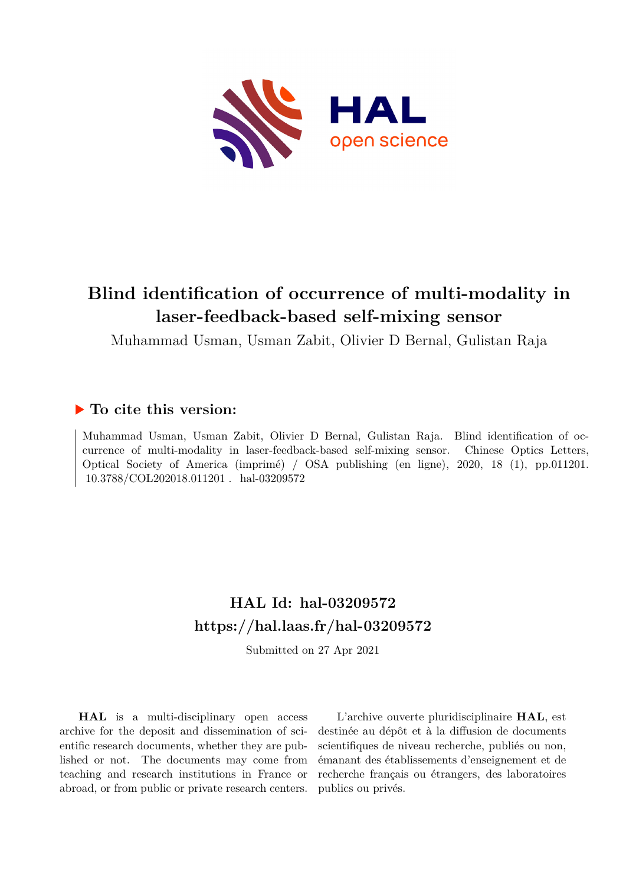

# **Blind identification of occurrence of multi-modality in laser-feedback-based self-mixing sensor**

Muhammad Usman, Usman Zabit, Olivier D Bernal, Gulistan Raja

#### **To cite this version:**

Muhammad Usman, Usman Zabit, Olivier D Bernal, Gulistan Raja. Blind identification of occurrence of multi-modality in laser-feedback-based self-mixing sensor. Chinese Optics Letters, Optical Society of America (imprimé) / OSA publishing (en ligne), 2020, 18 (1), pp.011201. 10.3788/COL202018.011201. hal-03209572

### **HAL Id: hal-03209572 <https://hal.laas.fr/hal-03209572>**

Submitted on 27 Apr 2021

**HAL** is a multi-disciplinary open access archive for the deposit and dissemination of scientific research documents, whether they are published or not. The documents may come from teaching and research institutions in France or abroad, or from public or private research centers.

L'archive ouverte pluridisciplinaire **HAL**, est destinée au dépôt et à la diffusion de documents scientifiques de niveau recherche, publiés ou non, émanant des établissements d'enseignement et de recherche français ou étrangers, des laboratoires publics ou privés.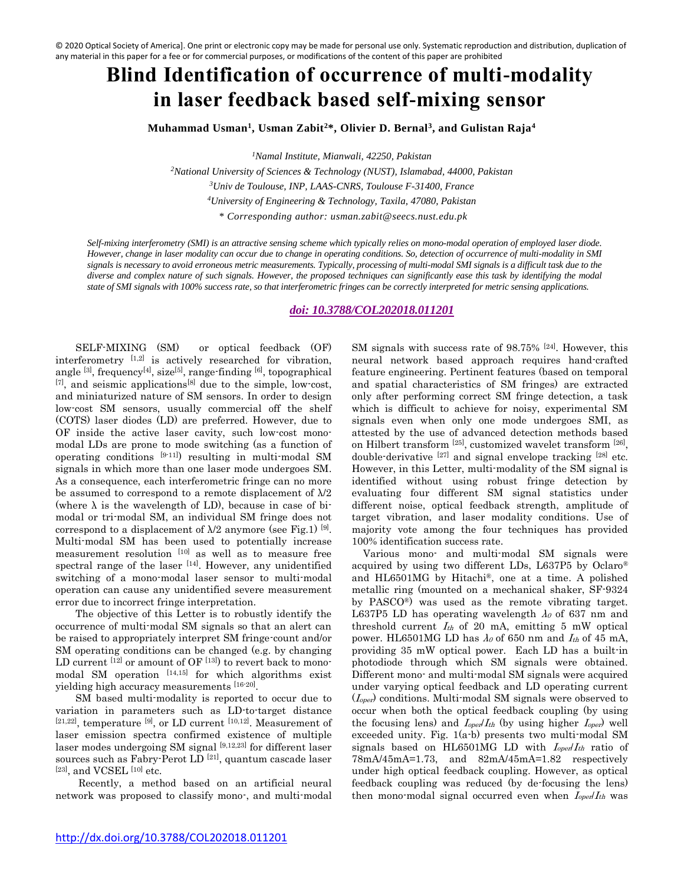# **Blind Identification of occurrence of multi-modality in laser feedback based self-mixing sensor**

**Muhammad Usman<sup>1</sup> , Usman Zabit<sup>2</sup>\*, Olivier D. Bernal<sup>3</sup> , and Gulistan Raja<sup>4</sup>**

*<sup>1</sup>Namal Institute, Mianwali, 42250, Pakistan*

*National University of Sciences & Technology (NUST), Islamabad, 44000, Pakistan Univ de Toulouse, INP, LAAS-CNRS, Toulouse F-31400, France University of Engineering & Technology, Taxila, 47080, Pakistan \* Corresponding author: usman.zabit@seecs.nust.edu.pk*

*Self-mixing interferometry (SMI) is an attractive sensing scheme which typically relies on mono-modal operation of employed laser diode. However, change in laser modality can occur due to change in operating conditions. So, detection of occurrence of multi-modality in SMI signals is necessary to avoid erroneous metric measurements. Typically, processing of multi-modal SMI signals is a difficult task due to the diverse and complex nature of such signals. However, the proposed techniques can significantly ease this task by identifying the modal state of SMI signals with 100% success rate, so that interferometric fringes can be correctly interpreted for metric sensing applications.* 

#### *doi: [10.3788/COL202018.011201](http://dx.doi.org/10.3788/COL202018.011201)*

SELF-MIXING (SM) or optical feedback (OF) interferometry [1,2] is actively researched for vibration, angle <sup>[3]</sup>, frequency<sup>[4]</sup>, size<sup>[5]</sup>, range-finding <sup>[6]</sup>, topographical  $[7]$ , and seismic applications<sup>[8]</sup> due to the simple, low-cost, and miniaturized nature of SM sensors. In order to design low-cost SM sensors, usually commercial off the shelf (COTS) laser diodes (LD) are preferred. However, due to OF inside the active laser cavity, such low-cost monomodal LDs are prone to mode switching (as a function of operating conditions [9-11]) resulting in multi-modal SM signals in which more than one laser mode undergoes SM. As a consequence, each interferometric fringe can no more be assumed to correspond to a remote displacement of  $\lambda/2$ (where  $\lambda$  is the wavelength of LD), because in case of bimodal or tri-modal SM, an individual SM fringe does not correspond to a displacement of  $\lambda/2$  anymore (see Fig.1) [9]. Multi-modal SM has been used to potentially increase measurement resolution [10] as well as to measure free spectral range of the laser [14]. However, any unidentified switching of a mono-modal laser sensor to multi-modal operation can cause any unidentified severe measurement error due to incorrect fringe interpretation.

The objective of this Letter is to robustly identify the occurrence of multi-modal SM signals so that an alert can be raised to appropriately interpret SM fringe-count and/or SM operating conditions can be changed (e.g. by changing LD current  $^{[12]}$  or amount of OF  $^{[13]}$ ) to revert back to monomodal SM operation  $[14,15]$  for which algorithms exist yielding high accuracy measurements [16-20] .

SM based multi-modality is reported to occur due to variation in parameters such as LD-to-target distance  $[21,22]$ , temperature  $[9]$ , or LD current  $[10,12]$ . Measurement of laser emission spectra confirmed existence of multiple laser modes undergoing SM signal [9,12,23] for different laser sources such as Fabry-Perot LD<sup>[21]</sup>, quantum cascade laser  $[23]$ , and VCSEL  $[10]$  etc.

Recently, a method based on an artificial neural network was proposed to classify mono-, and multi-modal SM signals with success rate of 98.75% <sup>[24]</sup>. However, this neural network based approach requires hand-crafted feature engineering. Pertinent features (based on temporal and spatial characteristics of SM fringes) are extracted only after performing correct SM fringe detection, a task which is difficult to achieve for noisy, experimental SM signals even when only one mode undergoes SMI, as attested by the use of advanced detection methods based on Hilbert transform <sup>[25]</sup>, customized wavelet transform <sup>[26]</sup>, double-derivative  $[27]$  and signal envelope tracking  $[28]$  etc. However, in this Letter, multi-modality of the SM signal is identified without using robust fringe detection by evaluating four different SM signal statistics under different noise, optical feedback strength, amplitude of target vibration, and laser modality conditions. Use of majority vote among the four techniques has provided 100% identification success rate.

Various mono- and multi-modal SM signals were acquired by using two different LDs, L637P5 by Oclaro® and HL6501MG by Hitachi®, one at a time. A polished metallic ring (mounted on a mechanical shaker, SF-9324 by PASCO®) was used as the remote vibrating target. L637P5 LD has operating wavelength  $\lambda_0$  of 637 nm and threshold current  $I_{th}$  of 20 mA, emitting 5 mW optical power. HL6501MG LD has  $\lambda_0$  of 650 nm and  $I_{th}$  of 45 mA, providing 35 mW optical power. Each LD has a built-in photodiode through which SM signals were obtained. Different mono- and multi-modal SM signals were acquired under varying optical feedback and LD operating current  $(I_{oper})$  conditions. Multi-modal SM signals were observed to occur when both the optical feedback coupling (by using the focusing lens) and  $I_{opel}I_{th}$  (by using higher  $I_{opel}$ ) well exceeded unity. Fig. 1(a-b) presents two multi-modal SM signals based on HL6501MG LD with  $I_{oper}/I_{th}$  ratio of 78mA/45mA=1.73, and 82mA/45mA=1.82 respectively under high optical feedback coupling. However, as optical feedback coupling was reduced (by de-focusing the lens) then mono-modal signal occurred even when  $I_{op}$   $I_{th}$  was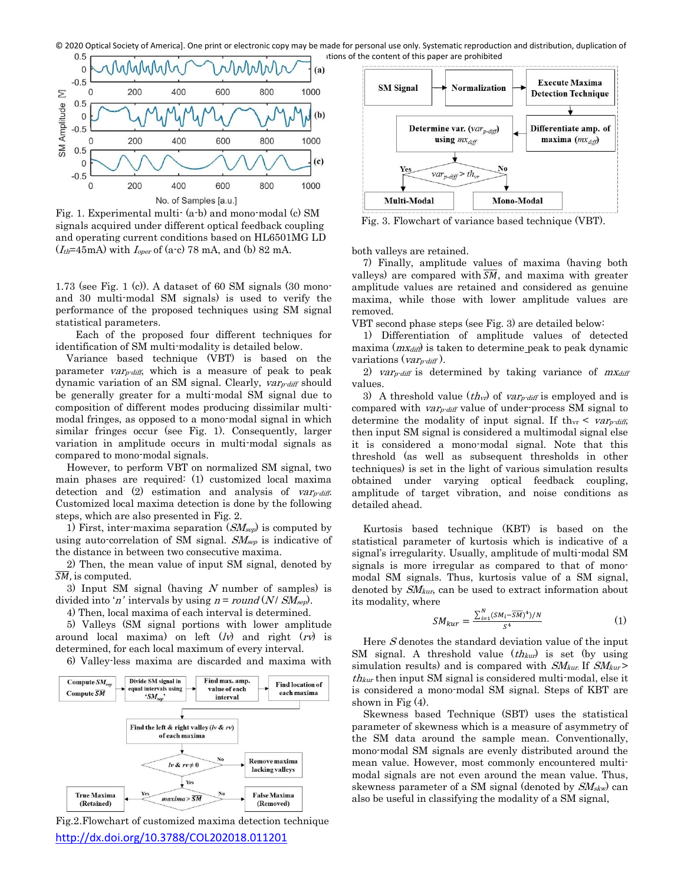

Fig. 1. Experimental multi- (a-b) and mono-modal (c) SM signals acquired under different optical feedback coupling and operating current conditions based on HL6501MG LD  $(I<sub>th</sub>=45mA)$  with  $I<sub>oper</sub>$  of (a-c) 78 mA, and (b) 82 mA.

1.73 (see Fig. 1 (c)). A dataset of 60 SM signals (30 monoand 30 multi-modal SM signals) is used to verify the performance of the proposed techniques using SM signal statistical parameters.

Each of the proposed four different techniques for identification of SM multi-modality is detailed below.

 Variance based technique (VBT) is based on the parameter  $var_{\text{r-diff}}$ , which is a measure of peak to peak dynamic variation of an SM signal. Clearly, var<sub>p-diff</sub> should be generally greater for a multi-modal SM signal due to composition of different modes producing dissimilar multimodal fringes, as opposed to a mono-modal signal in which similar fringes occur (see Fig. 1). Consequently, larger variation in amplitude occurs in multi-modal signals as compared to mono-modal signals.

However, to perform VBT on normalized SM signal, two main phases are required: (1) customized local maxima detection and  $(2)$  estimation and analysis of *var<sub>p-diff</sub>*. Customized local maxima detection is done by the following steps, which are also presented in Fig. 2.

1) First, inter-maxima separation  $(SM_{sep})$  is computed by using auto-correlation of SM signal.  $SM_{sep}$  is indicative of the distance in between two consecutive maxima.

2) Then, the mean value of input SM signal, denoted by  $\overline{SM}$ , is computed.

3) Input SM signal (having  $N$  number of samples) is divided into 'n' intervals by using  $n = round(N / SM_{sep})$ .

4) Then, local maxima of each interval is determined.

5) Valleys (SM signal portions with lower amplitude around local maxima) on left  $(lv)$  and right  $(rv)$  is determined, for each local maximum of every interval.

6) Valley-less maxima are discarded and maxima with



<http://dx.doi.org/10.3788/COL202018.011201> Fig.2.Flowchart of customized maxima detection technique



Fig. 3. Flowchart of variance based technique (VBT).

both valleys are retained.

 7) Finally, amplitude values of maxima (having both valleys) are compared with  $\overline{SM}$ , and maxima with greater amplitude values are retained and considered as genuine maxima, while those with lower amplitude values are removed.

VBT second phase steps (see Fig. 3) are detailed below:

1) Differentiation of amplitude values of detected maxima  $(mx_{diff})$  is taken to determine peak to peak dynamic variations ( $var_{\text{diff}}$ ).

2) var<sub>p-diff</sub> is determined by taking variance of  $mx<sub>diff</sub>$ values.

3) A threshold value  $(th_{vr})$  of var<sub>p-diff</sub> is employed and is compared with *var<sub>p-diff</sub>* value of under-process SM signal to determine the modality of input signal. If th<sub>vr</sub>  $\langle var_{\text{r-diff}}\rangle$ then input SM signal is considered a multimodal signal else it is considered a mono-modal signal. Note that this threshold (as well as subsequent thresholds in other techniques) is set in the light of various simulation results obtained under varying optical feedback coupling, amplitude of target vibration, and noise conditions as detailed ahead.

Kurtosis based technique (KBT) is based on the statistical parameter of kurtosis which is indicative of a signal's irregularity. Usually, amplitude of multi-modal SM signals is more irregular as compared to that of monomodal SM signals. Thus, kurtosis value of a SM signal, denoted by  $SM_{kur}$ , can be used to extract information about its modality, where

$$
SM_{kur} = \frac{\sum_{i=1}^{N} (SM_i - \overline{SM})^4)/N}{S^4}
$$
 (1)

Here S denotes the standard deviation value of the input SM signal. A threshold value  $(th_{kur})$  is set (by using simulation results) and is compared with  $SM_{kur}$  If  $SM_{kur}$  $th_{kur}$  then input SM signal is considered multi-modal, else it is considered a mono-modal SM signal. Steps of KBT are shown in Fig (4).

Skewness based Technique (SBT) uses the statistical parameter of skewness which is a measure of asymmetry of the SM data around the sample mean. Conventionally, mono-modal SM signals are evenly distributed around the mean value. However, most commonly encountered multimodal signals are not even around the mean value. Thus, skewness parameter of a SM signal (denoted by  $SM_{\text{skw}}$ ) can also be useful in classifying the modality of a SM signal,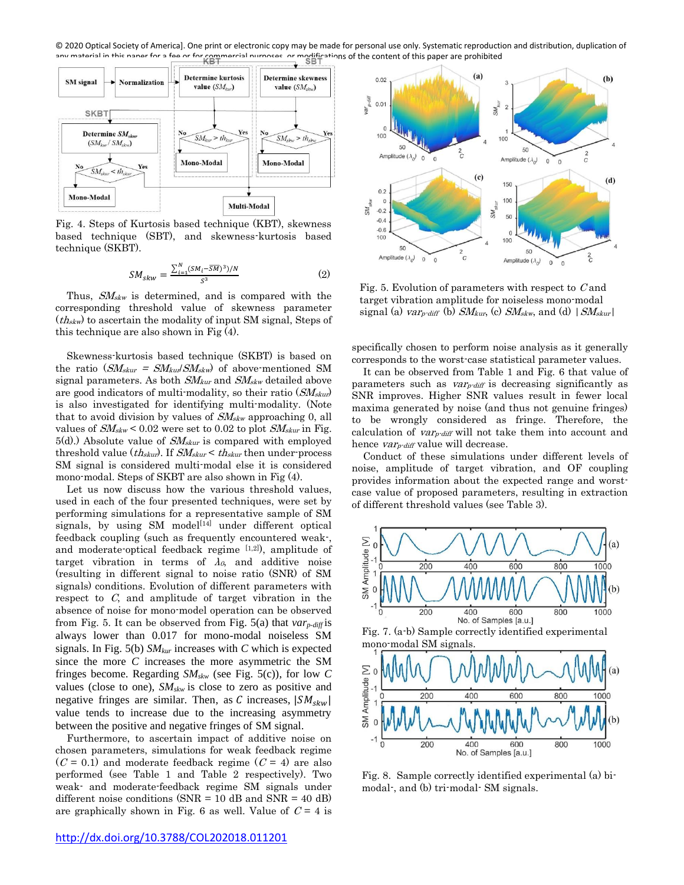© 2020 Optical Society of America]. One print or electronic copy may be made for personal use only. Systematic reproduction and distribution, duplication of aterial in this paper for a fee or for commercial purposes, or modifications of the content of this paper are prohibited



Fig. 4. Steps of Kurtosis based technique (KBT), skewness based technique (SBT), and skewness-kurtosis based technique (SKBT).

$$
SM_{skw} = \frac{\sum_{i=1}^{N} (SM_i - \overline{SM})^3 / N}{S^3}
$$
 (2)

Thus,  $SM_{\text{skw}}$  is determined, and is compared with the corresponding threshold value of skewness parameter  $(th_{skw})$  to ascertain the modality of input SM signal, Steps of this technique are also shown in Fig (4).

Skewness-kurtosis based technique (SKBT) is based on the ratio  $(SM_{skur} = SM_{kurl}SM_{skw})$  of above-mentioned SM signal parameters. As both  $S\!M_{\text{kur}}$  and  $S\!M_{\text{skw}}$  detailed above are good indicators of multi-modality, so their ratio  $(SM<sub>skur</sub>)$ is also investigated for identifying multi-modality. (Note that to avoid division by values of  $\mathit{SM}_{\mathit{skw}}$  approaching 0, all values of  $SM_{\text{skw}}$  < 0.02 were set to 0.02 to plot  $SM_{\text{skur}}$  in Fig.  $5(d)$ .) Absolute value of  $SM<sub>skur</sub>$  is compared with employed threshold value ( $th_{skur}$ ). If  $SM_{skur}$  <  $th_{skur}$  then under-process SM signal is considered multi-modal else it is considered mono-modal. Steps of SKBT are also shown in Fig (4).

Let us now discuss how the various threshold values, used in each of the four presented techniques, were set by performing simulations for a representative sample of SM signals, by using SM model<sup>[14]</sup> under different optical feedback coupling (such as frequently encountered weak-, and moderate-optical feedback regime  $[1,2]$ ), amplitude of target vibration in terms of  $\lambda_0$ , and additive noise (resulting in different signal to noise ratio (SNR) of SM signals) conditions. Evolution of different parameters with respect to C, and amplitude of target vibration in the absence of noise for mono-model operation can be observed from Fig. 5. It can be observed from Fig. 5(a) that *varp-diff* is always lower than 0.017 for mono-modal noiseless SM signals. In Fig. 5(b) *SMkur* increases with *C* which is expected since the more *C* increases the more asymmetric the SM fringes become. Regarding *SMskw* (see Fig. 5(c)), for low *C* values (close to one), *SMskw* is close to zero as positive and negative fringes are similar. Then, as C increases,  $|SM_{skw}|$ value tends to increase due to the increasing asymmetry between the positive and negative fringes of SM signal.

Furthermore, to ascertain impact of additive noise on chosen parameters, simulations for weak feedback regime  $(C = 0.1)$  and moderate feedback regime  $(C = 4)$  are also performed (see Table 1 and Table 2 respectively). Two weak- and moderate-feedback regime SM signals under different noise conditions ( $SNR = 10$  dB and  $SNR = 40$  dB) are graphically shown in Fig. 6 as well. Value of  $C = 4$  is



Fig. 5. Evolution of parameters with respect to  $C$  and target vibration amplitude for noiseless mono-modal signal (a) var<sub>p</sub>-diff (b)  $SM_{kur}$ , (c)  $SM_{skw}$ , and (d)  $|M_{skur}|$ 

specifically chosen to perform noise analysis as it generally corresponds to the worst-case statistical parameter values.

It can be observed from Table 1 and Fig. 6 that value of parameters such as  $var_{\text{pdf}}$  is decreasing significantly as SNR improves. Higher SNR values result in fewer local maxima generated by noise (and thus not genuine fringes) to be wrongly considered as fringe. Therefore, the calculation of  $var_{\text{r-diff}}$  will not take them into account and hence *var<sub>p</sub>-diff* value will decrease.

Conduct of these simulations under different levels of noise, amplitude of target vibration, and OF coupling provides information about the expected range and worstcase value of proposed parameters, resulting in extraction of different threshold values (see Table 3).



Fig. 7. (a-b) Sample correctly identified experimental mono-modal SM signals.



Fig. 8. Sample correctly identified experimental (a) bimodal-, and (b) tri-modal- SM signals.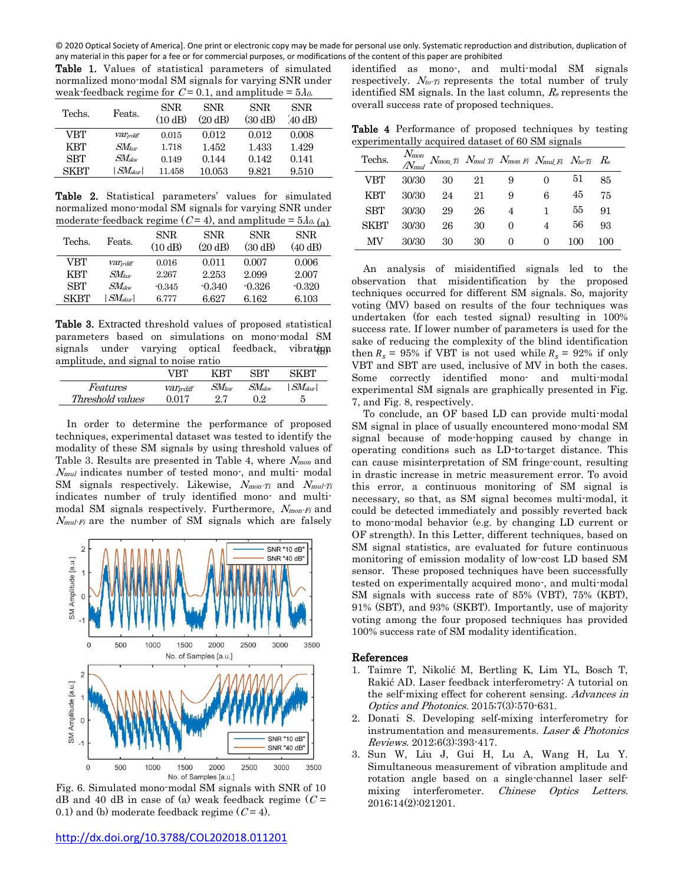© 2020 Optical Society of America]. One print or electronic copy may be made for personal use only. Systematic reproduction and distribution, duplication of any material in this paper for a fee or for commercial purposes, or modifications of the content of this paper are prohibited

Table 1. Values of statistical parameters of simulated normalized mono-modal SM signals for varying SNR under weak-feedback regime for  $C = 0.1$ , and amplitude =  $5\lambda_0$ .

| Techs.      | Feats.                       | SNR.<br>(10 dB) | SNR.<br>(20 dB) | SNR.<br>(30 dB) | SNR.<br>$(40 \text{ dB})$ |  |
|-------------|------------------------------|-----------------|-----------------|-----------------|---------------------------|--|
| VBT         | Varpdiff                     | 0.015           | 0.012           | 0.012           | 0.008                     |  |
| <b>KBT</b>  | $\mathit{SM}_{\mathit{kur}}$ | 1.718           | 1.452           | 1.433           | 1.429                     |  |
| <b>SBT</b>  | $\mathit{SM}_{\rm skw}$      | 0.149           | 0.144           | 0.142           | 0.141                     |  |
| <b>SKBT</b> | $SM_{skur}$                  | 11.458          | $10.053\,$      | 9.821           | 9.510                     |  |

Table 2. Statistical parameters' values for simulated normalized mono-modal SM signals for varying SNR under moderate-feedback regime  $(C=4)$ , and amplitude =  $5\lambda_{0.}(a)$ 

| Techs.      | Feats.                        | <b>SNR</b><br>(10 dB) | <b>SNR</b><br>(20 dB) | <b>SNR</b><br>(30 dB) | <b>SNR</b><br>(40 dB) |
|-------------|-------------------------------|-----------------------|-----------------------|-----------------------|-----------------------|
| VBT         | <b>Var</b> <sub>pdiff</sub>   | 0.016                 | 0.011                 | 0.007                 | 0.006                 |
| KBT         | $SM_{\scriptscriptstyle{bm}}$ | 2.267                 | 2.253                 | 2.099                 | 2.007                 |
| <b>SBT</b>  | $\mathcal{SM}_{\rm skw}$      | $-0.345$              | $-0.340$              | $-0.326$              | $-0.320$              |
| <b>SKBT</b> | $SM_{skur}$                   | 6.777                 | 6.627                 | 6.162                 | 6.103                 |

Table 3. Extracted threshold values of proposed statistical parameters based on simulations on mono-modal SM signals under varying optical amplitude, and signal to noise ratio feedback, vibrating

|                  | VRT      | KRT                          | QRT                     | SKRT                   |
|------------------|----------|------------------------------|-------------------------|------------------------|
| <i>Features</i>  | Varpdiff | $\mathit{SM}_{\mathit{kur}}$ | $\mathit{SM}_{\rm skw}$ | $\vert$ SMskur $\vert$ |
| Threshold values | ገ በ17    | 97                           | Ռ Զ                     | 5                      |

In order to determine the performance of proposed techniques, experimental dataset was tested to identify the modality of these SM signals by using threshold values of Table 3. Results are presented in Table 4, where  $N_{\text{mon}}$  and  $N_{mul}$  indicates number of tested mono-, and multi-modal SM signals respectively. Likewise, Nmon-Ti and Nmul-Ti indicates number of truly identified mono- and multimodal SM signals respectively. Furthermore, Nmon-Fi and  $N_{mul\text{-}Fi}$  are the number of SM signals which are falsely



Fig. 6. Simulated mono-modal SM signals with SNR of 10 dB and 40 dB in case of (a) weak feedback regime  $(C =$ 0.1) and (b) moderate feedback regime  $(C = 4)$ .

identified as mono-, and multi-modal SM signals respectively.  $N_{to}$  represents the total number of truly identified SM signals. In the last column,  $R_s$  represents the overall success rate of proposed techniques.

Table 4 Performance of proposed techniques by testing experimentally acquired dataset of 60 SM signals

| Techs.      | $N_{\!mm}$<br>$N_{mul}$ |    |    | $N_{mon\ Ti}$ $N_{mul\ Ti}$ $N_{mon\ Fi}$ $N_{mul\ Fi}$ $N_{to\ Ti}$ $R_s$ |          |     |     |
|-------------|-------------------------|----|----|----------------------------------------------------------------------------|----------|-----|-----|
| VBT         | 30/30                   | 30 | 21 | 9                                                                          |          | 51  | 85  |
| <b>KBT</b>  | 30/30                   | 24 | 21 | 9                                                                          | 6        | 45  | 75  |
| <b>SBT</b>  | 30/30                   | 29 | 26 | $\overline{4}$                                                             |          | 55  | 91  |
| <b>SKBT</b> | 30/30                   | 26 | 30 | $\theta$                                                                   | 4        | 56  | 93  |
| MV          | 30/30                   | 30 | 30 | $\theta$                                                                   | $\theta$ | 100 | 100 |

An analysis of misidentified signals led to the observation that misidentification by the proposed techniques occurred for different SM signals. So, majority voting (MV) based on results of the four techniques was undertaken (for each tested signal) resulting in 100% success rate. If lower number of parameters is used for the sake of reducing the complexity of the blind identification then  $R_s = 95\%$  if VBT is not used while  $R_s = 92\%$  if only VBT and SBT are used, inclusive of MV in both the cases. Some correctly identified mono- and multi-modal experimental SM signals are graphically presented in Fig. 7, and Fig. 8, respectively.

To conclude, an OF based LD can provide multi-modal SM signal in place of usually encountered mono-modal SM signal because of mode-hopping caused by change in operating conditions such as LD-to-target distance. This can cause misinterpretation of SM fringe-count, resulting in drastic increase in metric measurement error. To avoid this error, a continuous monitoring of SM signal is necessary, so that, as SM signal becomes multi-modal, it could be detected immediately and possibly reverted back to mono-modal behavior (e.g. by changing LD current or OF strength). In this Letter, different techniques, based on SM signal statistics, are evaluated for future continuous monitoring of emission modality of low-cost LD based SM sensor. These proposed techniques have been successfully tested on experimentally acquired mono-, and multi-modal SM signals with success rate of 85% (VBT), 75% (KBT), 91% (SBT), and 93% (SKBT). Importantly, use of majority voting among the four proposed techniques has provided 100% success rate of SM modality identification.

#### References

- 1. Taimre T, Nikolić M, Bertling K, Lim YL, Bosch T, Rakić AD. Laser feedback interferometry: A tutorial on the self-mixing effect for coherent sensing. Advances in Optics and Photonics. 2015;7(3):570-631.
- 2. Donati S. Developing self‐mixing interferometry for instrumentation and measurements. Laser & Photonics Reviews. 2012;6(3):393-417.
- 3. Sun W, Liu J, Gui H, Lu A, Wang H, Lu Y. Simultaneous measurement of vibration amplitude and rotation angle based on a single-channel laser selfmixing interferometer. Chinese Optics Letters. 2016;14(2):021201.